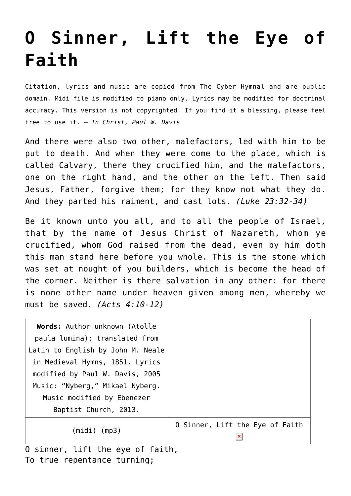## **[O Sinner, Lift the Eye of](http://reproachofmen.org/hymns-and-music/o-sinner-lift-the-eye-of-faith/) [Faith](http://reproachofmen.org/hymns-and-music/o-sinner-lift-the-eye-of-faith/)**

Citation, lyrics and music are copied from [The Cyber Hymnal](http://www.cyberhymnal.org/) and are public domain. Midi file is modified to piano only. Lyrics may be modified for doctrinal accuracy. This version is not copyrighted. If you find it a blessing, please feel free to use it. — *In Christ, Paul W. Davis*

And there were also two other, malefactors, led with him to be put to death. And when they were come to the place, which is called Calvary, there they crucified him, and the malefactors, one on the right hand, and the other on the left. Then said Jesus, Father, forgive them; for they know not what they do. And they parted his raiment, and cast lots. *(Luke 23:32-34)*

Be it known unto you all, and to all the people of Israel, that by the name of Jesus Christ of Nazareth, whom ye crucified, whom God raised from the dead, even by him doth this man stand here before you whole. This is the stone which was set at nought of you builders, which is become the head of the corner. Neither is there salvation in any other: for there is none other name under heaven given among men, whereby we must be saved. *(Acts 4:10-12)*

| Words: Author unknown (Atolle              |                                                   |
|--------------------------------------------|---------------------------------------------------|
| paula lumina); translated from             |                                                   |
| Latin to English by John M. Neale          |                                                   |
| in Medieval Hymns, 1851. Lyrics            |                                                   |
| modified by Paul W. Davis, 2005            |                                                   |
| Music: "Nyberg," Mikael Nyberg.            |                                                   |
| Music modified by Ebenezer                 |                                                   |
| Baptist Church, 2013.                      |                                                   |
| $(midi)$ $(mp3)$                           | O Sinner, Lift the Eye of Faith<br>$\pmb{\times}$ |
| $1:4+$ the eug of foith<br>$\Omega$ cinnam |                                                   |

O sinner, lift the eye of faith, To true repentance turning;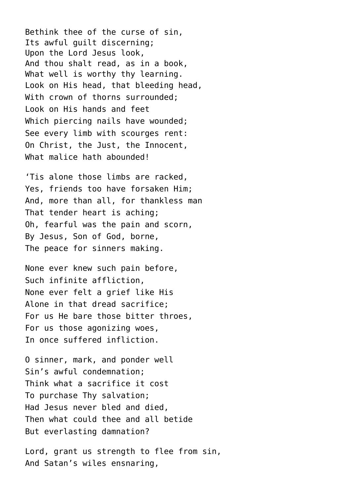Bethink thee of the curse of sin, Its awful guilt discerning; Upon the Lord Jesus look, And thou shalt read, as in a book, What well is worthy thy learning. Look on His head, that bleeding head, With crown of thorns surrounded; Look on His hands and feet Which piercing nails have wounded; See every limb with scourges rent: On Christ, the Just, the Innocent, What malice hath abounded!

'Tis alone those limbs are racked, Yes, friends too have forsaken Him; And, more than all, for thankless man That tender heart is aching; Oh, fearful was the pain and scorn, By Jesus, Son of God, borne, The peace for sinners making.

None ever knew such pain before, Such infinite affliction, None ever felt a grief like His Alone in that dread sacrifice; For us He bare those bitter throes, For us those agonizing woes, In once suffered infliction.

O sinner, mark, and ponder well Sin's awful condemnation; Think what a sacrifice it cost To purchase Thy salvation; Had Jesus never bled and died, Then what could thee and all betide But everlasting damnation?

Lord, grant us strength to flee from sin, And Satan's wiles ensnaring,